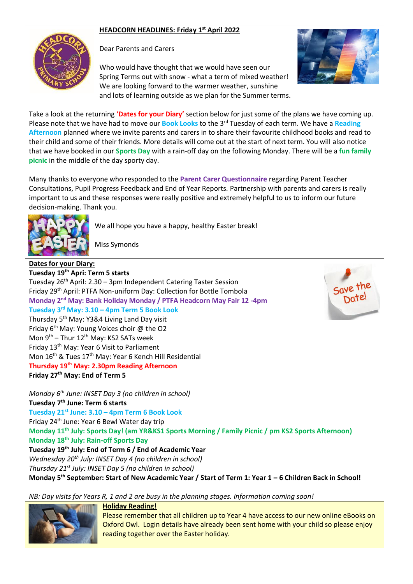# **HEADCORN HEADLINES: Friday 1 st April 2022**



Dear Parents and Carers

Who would have thought that we would have seen our Spring Terms out with snow - what a term of mixed weather! We are looking forward to the warmer weather, sunshine and lots of learning outside as we plan for the Summer terms.



Take a look at the returning **'Dates for your Diary'** section below for just some of the plans we have coming up. Please note that we have had to move our **Book Looks** to the 3rd Tuesday of each term. We have a **Reading Afternoon** planned where we invite parents and carers in to share their favourite childhood books and read to their child and some of their friends. More details will come out at the start of next term. You will also notice that we have booked in our **Sports Day** with a rain-off day on the following Monday. There will be a **fun family picnic** in the middle of the day sporty day.

Many thanks to everyone who responded to the **Parent Carer Questionnaire** regarding Parent Teacher Consultations, Pupil Progress Feedback and End of Year Reports. Partnership with parents and carers is really important to us and these responses were really positive and extremely helpful to us to inform our future decision-making. Thank you.



We all hope you have a happy, healthy Easter break!

Miss Symonds

**Dates for your Diary: Tuesday 19th Apri: Term 5 starts** Tuesday 26th April: 2.30 – 3pm Independent Catering Taster Session Friday 29th April: PTFA Non-uniform Day: Collection for Bottle Tombola **Monday 2nd May: Bank Holiday Monday / PTFA Headcorn May Fair 12 -4pm Tuesday 3 rd May: 3.10 – 4pm Term 5 Book Look** Thursday 5<sup>th</sup> May: Y3&4 Living Land Day visit Friday  $6<sup>th</sup>$  May: Young Voices choir @ the O2 Mon 9<sup>th</sup> – Thur 12<sup>th</sup> May: KS2 SATs week Friday 13th May: Year 6 Visit to Parliament Mon 16<sup>th</sup> & Tues 17<sup>th</sup> May: Year 6 Kench Hill Residential **Thursday 19th May: 2.30pm Reading Afternoon Friday 27th May: End of Term 5**

*Monday 6th June: INSET Day 3 (no children in school)* **Tuesday 7th June: Term 6 starts Tuesday 21st June: 3.10 – 4pm Term 6 Book Look** Friday 24th June: Year 6 Bewl Water day trip **Monday 11th July: Sports Day! (am YR&KS1 Sports Morning / Family Picnic / pm KS2 Sports Afternoon) Monday 18th July: Rain-off Sports Day Tuesday 19th July: End of Term 6 / End of Academic Year** *Wednesday 20th July: INSET Day 4 (no children in school) Thursday 21st July: INSET Day 5 (no children in school)*

**Monday 5th September: Start of New Academic Year / Start of Term 1: Year 1 – 6 Children Back in School!**

*NB: Day visits for Years R, 1 and 2 are busy in the planning stages. Information coming soon!*



# **Holiday Reading!**

Please remember that all children up to Year 4 have access to our new online eBooks on Oxford Owl. Login details have already been sent home with your child so please enjoy reading together over the Easter holiday.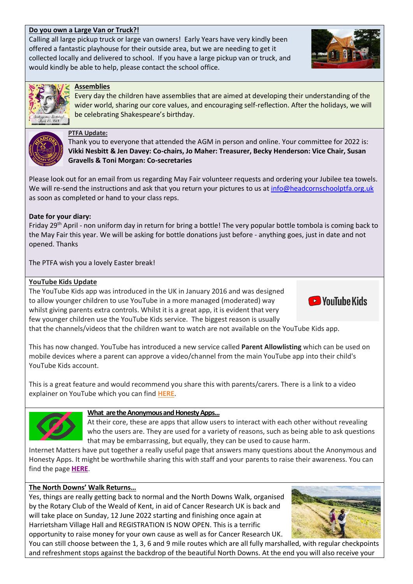## **Do you own a Large Van or Truck?!**

Calling all large pickup truck or large van owners! Early Years have very kindly been offered a fantastic playhouse for their outside area, but we are needing to get it collected locally and delivered to school. If you have a large pickup van or truck, and would kindly be able to help, please contact the school office.





## **Assemblies**

Every day the children have assemblies that are aimed at developing their understanding of the wider world, sharing our core values, and encouraging self-reflection. After the holidays, we will be celebrating Shakespeare's birthday.



# **PTFA Update:**

Thank you to everyone that attended the AGM in person and online. Your committee for 2022 is: **Vikki Nesbitt & Jen Davey: Co-chairs, Jo Maher: Treasurer, Becky Henderson: Vice Chair, Susan Gravells & Toni Morgan: Co-secretaries**

Please look out for an email from us regarding May Fair volunteer requests and ordering your Jubilee tea towels. We will re-send the instructions and ask that you return your pictures to us at [info@headcornschoolptfa.org.uk](mailto:info@headcornschoolptfa.org.uk) as soon as completed or hand to your class reps.

## **Date for your diary:**

Friday 29<sup>th</sup> April - non uniform day in return for bring a bottle! The very popular bottle tombola is coming back to the May Fair this year. We will be asking for bottle donations just before - anything goes, just in date and not opened. Thanks

The PTFA wish you a lovely Easter break!

#### **YouTube Kids Update**

The YouTube Kids app was introduced in the UK in January 2016 and was designed to allow younger children to use YouTube in a more managed (moderated) way whilst giving parents extra controls. Whilst it is a great app, it is evident that very few younger children use the YouTube Kids service. The biggest reason is usually



that the channels/videos that the children want to watch are not available on the YouTube Kids app.

This has now changed. YouTube has introduced a new service called **Parent Allowlisting** which can be used on mobile devices where a parent can approve a video/channel from the main YouTube app into their child's YouTube Kids account.

This is a great feature and would recommend you share this with parents/carers. There is a link to a video explainer on YouTube which you can find **[HERE](https://esafety-adviser.us4.list-manage.com/track/click?u=cbd59b76f0e1ad9db768db345&id=a4bcd18716&e=5a67b34569)**.



#### **What are the Anonymous and Honesty Apps...**

At their core, these are apps that allow users to interact with each other without revealing who the users are. They are used for a variety of reasons, such as being able to ask questions that may be embarrassing, but equally, they can be used to cause harm.

Internet Matters have put together a really useful page that answers many questions about the Anonymous and Honesty Apps. It might be worthwhile sharing this with staff and your parents to raise their awareness. You can find the page **[HERE](https://esafety-adviser.us4.list-manage.com/track/click?u=cbd59b76f0e1ad9db768db345&id=e4645cb60f&e=5a67b34569)**.

#### **The North Downs' Walk Returns…**

Yes, things are really getting back to normal and the North Downs Walk, organised by the Rotary Club of the Weald of Kent, in aid of Cancer Research UK is back and will take place on Sunday, 12 June 2022 starting and finishing once again at Harrietsham Village Hall and REGISTRATION IS NOW OPEN. This is a terrific opportunity to raise money for your own cause as well as for Cancer Research UK.



You can still choose between the 1, 3, 6 and 9 mile routes which are all fully marshalled, with regular checkpoints and refreshment stops against the backdrop of the beautiful North Downs. At the end you will also receive your